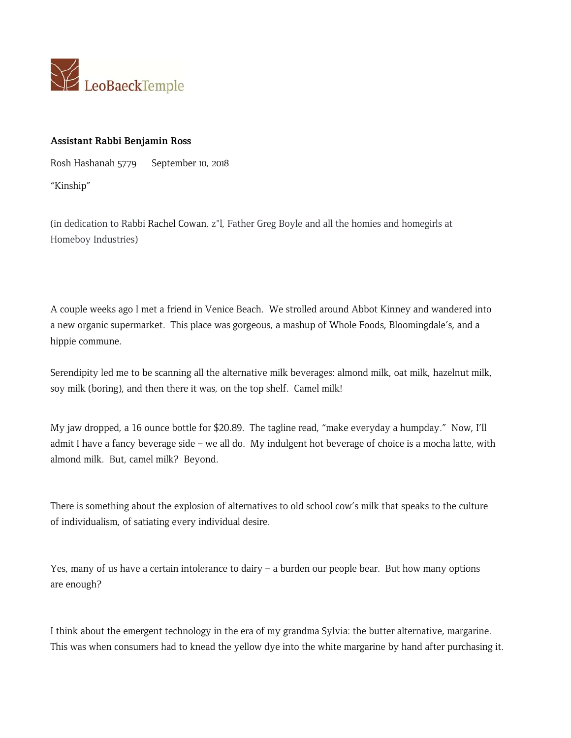

## **Assistant Rabbi Benjamin Ross**

Rosh Hashanah 5779 September 10, 2018

"Kinship"

(in dedication to Rabbi Rachel Cowan, z"l, Father Greg Boyle and all the homies and homegirls at Homeboy Industries)

A couple weeks ago I met a friend in Venice Beach. We strolled around Abbot Kinney and wandered into a new organic supermarket. This place was gorgeous, a mashup of Whole Foods, Bloomingdale's, and a hippie commune.

Serendipity led me to be scanning all the alternative milk beverages: almond milk, oat milk, hazelnut milk, soy milk (boring), and then there it was, on the top shelf. Camel milk!

My jaw dropped, a 16 ounce bottle for \$20.89. The tagline read, "make everyday a humpday." Now, I'll admit I have a fancy beverage side – we all do. My indulgent hot beverage of choice is a mocha latte, with almond milk. But, camel milk? Beyond.

There is something about the explosion of alternatives to old school cow's milk that speaks to the culture of individualism, of satiating every individual desire.

Yes, many of us have a certain intolerance to dairy – a burden our people bear. But how many options are enough?

I think about the emergent technology in the era of my grandma Sylvia: the butter alternative, margarine. This was when consumers had to knead the yellow dye into the white margarine by hand after purchasing it.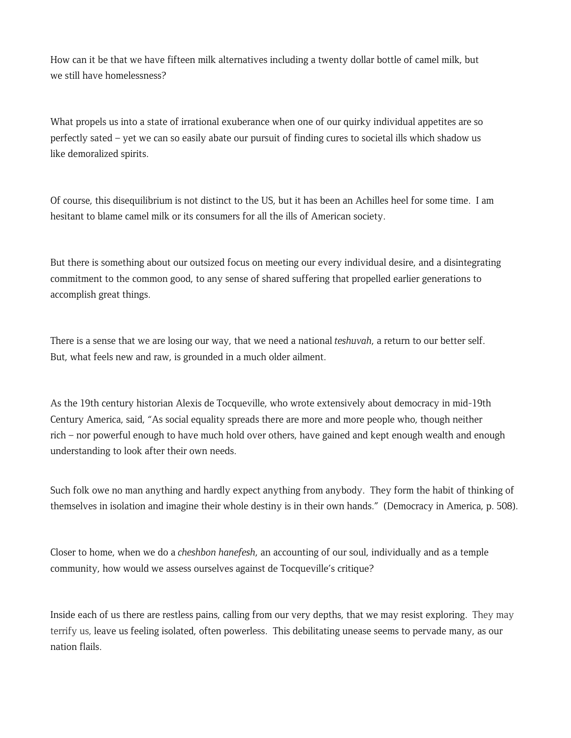How can it be that we have fifteen milk alternatives including a twenty dollar bottle of camel milk, but we still have homelessness?

What propels us into a state of irrational exuberance when one of our quirky individual appetites are so perfectly sated – yet we can so easily abate our pursuit of finding cures to societal ills which shadow us like demoralized spirits.

Of course, this disequilibrium is not distinct to the US, but it has been an Achilles heel for some time. I am hesitant to blame camel milk or its consumers for all the ills of American society.

But there is something about our outsized focus on meeting our every individual desire, and a disintegrating commitment to the common good, to any sense of shared suffering that propelled earlier generations to accomplish great things.

There is a sense that we are losing our way, that we need a national *teshuvah*, a return to our better self. But, what feels new and raw, is grounded in a much older ailment.

As the 19th century historian Alexis de Tocqueville, who wrote extensively about democracy in mid-19th Century America, said, "As social equality spreads there are more and more people who, though neither rich – nor powerful enough to have much hold over others, have gained and kept enough wealth and enough understanding to look after their own needs.

Such folk owe no man anything and hardly expect anything from anybody. They form the habit of thinking of themselves in isolation and imagine their whole destiny is in their own hands." (Democracy in America, p. 508).

Closer to home, when we do a *cheshbon hanefesh*, an accounting of our soul, individually and as a temple community, how would we assess ourselves against de Tocqueville's critique?

Inside each of us there are restless pains, calling from our very depths, that we may resist exploring. They may terrify us, leave us feeling isolated, often powerless. This debilitating unease seems to pervade many, as our nation flails.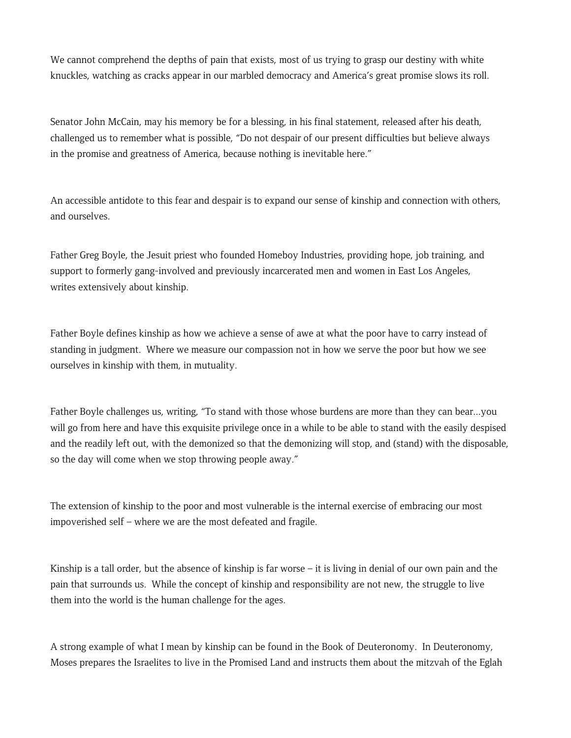We cannot comprehend the depths of pain that exists, most of us trying to grasp our destiny with white knuckles, watching as cracks appear in our marbled democracy and America's great promise slows its roll.

Senator John McCain, may his memory be for a blessing, in his final statement, released after his death, challenged us to remember what is possible, "Do not despair of our present difficulties but believe always in the promise and greatness of America, because nothing is inevitable here."

An accessible antidote to this fear and despair is to expand our sense of kinship and connection with others, and ourselves.

Father Greg Boyle, the Jesuit priest who founded Homeboy Industries, providing hope, job training, and support to formerly gang-involved and previously incarcerated men and women in East Los Angeles, writes extensively about kinship.

Father Boyle defines kinship as how we achieve a sense of awe at what the poor have to carry instead of standing in judgment. Where we measure our compassion not in how we serve the poor but how we see ourselves in kinship with them, in mutuality.

Father Boyle challenges us, writing, "To stand with those whose burdens are more than they can bear...you will go from here and have this exquisite privilege once in a while to be able to stand with the easily despised and the readily left out, with the demonized so that the demonizing will stop, and (stand) with the disposable, so the day will come when we stop throwing people away."

The extension of kinship to the poor and most vulnerable is the internal exercise of embracing our most impoverished self – where we are the most defeated and fragile.

Kinship is a tall order, but the absence of kinship is far worse – it is living in denial of our own pain and the pain that surrounds us. While the concept of kinship and responsibility are not new, the struggle to live them into the world is the human challenge for the ages.

A strong example of what I mean by kinship can be found in the Book of Deuteronomy. In Deuteronomy, Moses prepares the Israelites to live in the Promised Land and instructs them about the mitzvah of the Eglah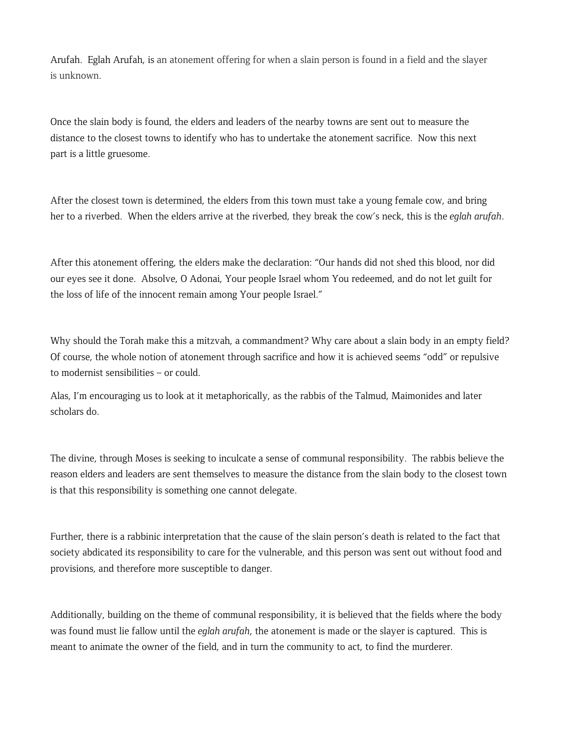Arufah. Eglah Arufah, is an atonement offering for when a slain person is found in a field and the slayer is unknown.

Once the slain body is found, the elders and leaders of the nearby towns are sent out to measure the distance to the closest towns to identify who has to undertake the atonement sacrifice. Now this next part is a little gruesome.

After the closest town is determined, the elders from this town must take a young female cow, and bring her to a riverbed. When the elders arrive at the riverbed, they break the cow's neck, this is the *eglah arufah*.

After this atonement offering, the elders make the declaration: "Our hands did not shed this blood, nor did our eyes see it done. Absolve, O Adonai, Your people Israel whom You redeemed, and do not let guilt for the loss of life of the innocent remain among Your people Israel."

Why should the Torah make this a mitzvah, a commandment? Why care about a slain body in an empty field? Of course, the whole notion of atonement through sacrifice and how it is achieved seems "odd" or repulsive to modernist sensibilities – or could.

Alas, I'm encouraging us to look at it metaphorically, as the rabbis of the Talmud, Maimonides and later scholars do.

The divine, through Moses is seeking to inculcate a sense of communal responsibility. The rabbis believe the reason elders and leaders are sent themselves to measure the distance from the slain body to the closest town is that this responsibility is something one cannot delegate.

Further, there is a rabbinic interpretation that the cause of the slain person's death is related to the fact that society abdicated its responsibility to care for the vulnerable, and this person was sent out without food and provisions, and therefore more susceptible to danger.

Additionally, building on the theme of communal responsibility, it is believed that the fields where the body was found must lie fallow until the *eglah arufah*, the atonement is made or the slayer is captured. This is meant to animate the owner of the field, and in turn the community to act, to find the murderer.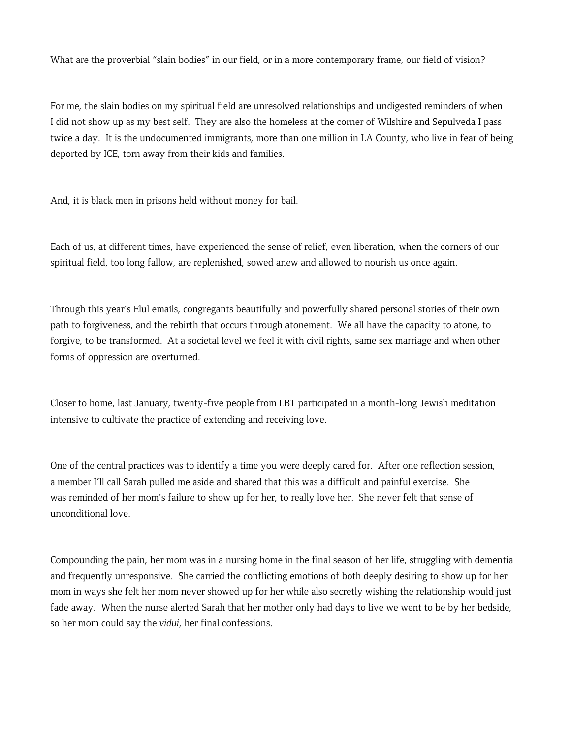What are the proverbial "slain bodies" in our field, or in a more contemporary frame, our field of vision?

For me, the slain bodies on my spiritual field are unresolved relationships and undigested reminders of when I did not show up as my best self. They are also the homeless at the corner of Wilshire and Sepulveda I pass twice a day. It is the undocumented immigrants, more than one million in LA County, who live in fear of being deported by ICE, torn away from their kids and families.

And, it is black men in prisons held without money for bail.

Each of us, at different times, have experienced the sense of relief, even liberation, when the corners of our spiritual field, too long fallow, are replenished, sowed anew and allowed to nourish us once again.

Through this year's Elul emails, congregants beautifully and powerfully shared personal stories of their own path to forgiveness, and the rebirth that occurs through atonement. We all have the capacity to atone, to forgive, to be transformed. At a societal level we feel it with civil rights, same sex marriage and when other forms of oppression are overturned.

Closer to home, last January, twenty-five people from LBT participated in a month-long Jewish meditation intensive to cultivate the practice of extending and receiving love.

One of the central practices was to identify a time you were deeply cared for. After one reflection session, a member I'll call Sarah pulled me aside and shared that this was a difficult and painful exercise. She was reminded of her mom's failure to show up for her, to really love her. She never felt that sense of unconditional love.

Compounding the pain, her mom was in a nursing home in the final season of her life, struggling with dementia and frequently unresponsive. She carried the conflicting emotions of both deeply desiring to show up for her mom in ways she felt her mom never showed up for her while also secretly wishing the relationship would just fade away. When the nurse alerted Sarah that her mother only had days to live we went to be by her bedside, so her mom could say the *vidui*, her final confessions.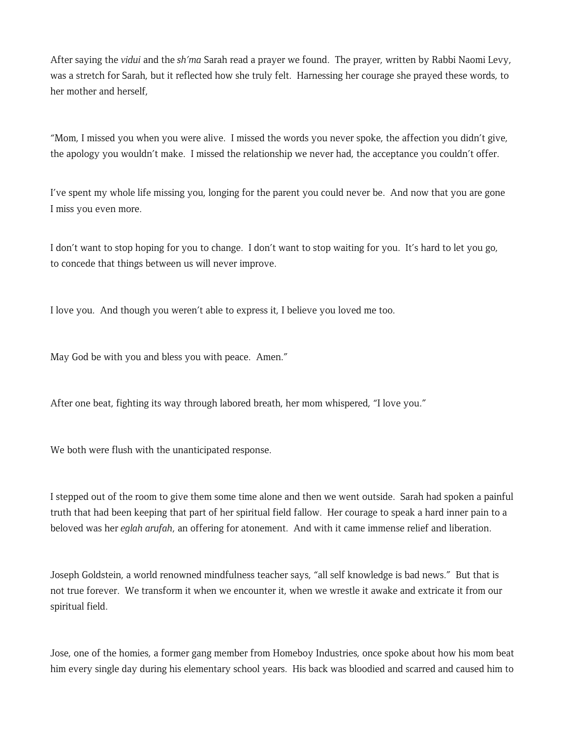After saying the *vidui* and the *sh'ma* Sarah read a prayer we found. The prayer, written by Rabbi Naomi Levy, was a stretch for Sarah, but it reflected how she truly felt. Harnessing her courage she prayed these words, to her mother and herself,

"Mom, I missed you when you were alive. I missed the words you never spoke, the affection you didn't give, the apology you wouldn't make. I missed the relationship we never had, the acceptance you couldn't offer.

I've spent my whole life missing you, longing for the parent you could never be. And now that you are gone I miss you even more.

I don't want to stop hoping for you to change. I don't want to stop waiting for you. It's hard to let you go, to concede that things between us will never improve.

I love you. And though you weren't able to express it, I believe you loved me too.

May God be with you and bless you with peace. Amen."

After one beat, fighting its way through labored breath, her mom whispered, "I love you."

We both were flush with the unanticipated response.

I stepped out of the room to give them some time alone and then we went outside. Sarah had spoken a painful truth that had been keeping that part of her spiritual field fallow. Her courage to speak a hard inner pain to a beloved was her *eglah arufah*, an offering for atonement. And with it came immense relief and liberation.

Joseph Goldstein, a world renowned mindfulness teacher says, "all self knowledge is bad news." But that is not true forever. We transform it when we encounter it, when we wrestle it awake and extricate it from our spiritual field.

Jose, one of the homies, a former gang member from Homeboy Industries, once spoke about how his mom beat him every single day during his elementary school years. His back was bloodied and scarred and caused him to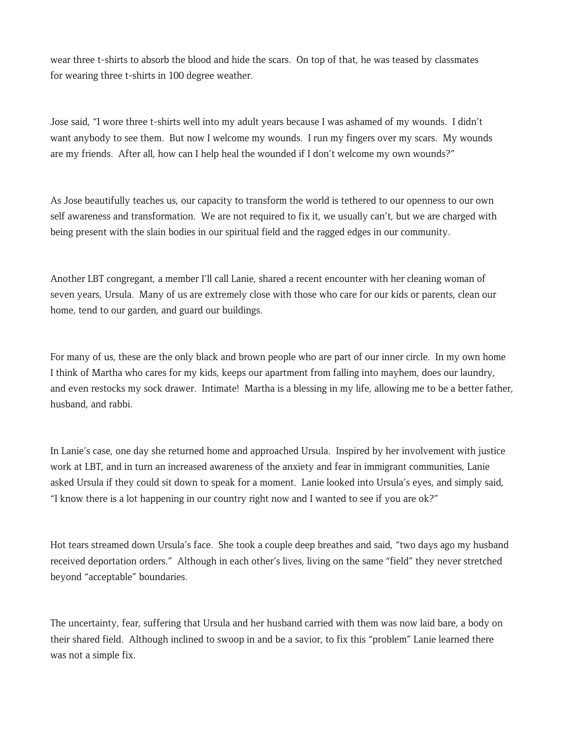wear three t-shirts to absorb the blood and hide the scars. On top of that, he was teased by classmates for wearing three t-shirts in 100 degree weather.

Jose said, "I wore three t-shirts well into my adult years because I was ashamed of my wounds. I didn't want anybody to see them. But now I welcome my wounds. I run my fingers over my scars. My wounds are my friends. After all, how can I help heal the wounded if I don't welcome my own wounds?"

As Jose beautifully teaches us, our capacity to transform the world is tethered to our openness to our own self awareness and transformation. We are not required to fix it, we usually can't, but we are charged with being present with the slain bodies in our spiritual field and the ragged edges in our community.

Another LBT congregant, a member I'll call Lanie, shared a recent encounter with her cleaning woman of seven years, Ursula. Many of us are extremely close with those who care for our kids or parents, clean our home, tend to our garden, and guard our buildings.

For many of us, these are the only black and brown people who are part of our inner circle. In my own home I think of Martha who cares for my kids, keeps our apartment from falling into mayhem, does our laundry, and even restocks my sock drawer. Intimate! Martha is a blessing in my life, allowing me to be a better father, husband, and rabbi.

In Lanie's case, one day she returned home and approached Ursula. Inspired by her involvement with justice work at LBT, and in turn an increased awareness of the anxiety and fear in immigrant communities, Lanie asked Ursula if they could sit down to speak for a moment. Lanie looked into Ursula's eyes, and simply said, "I know there is a lot happening in our country right now and I wanted to see if you are ok?"

Hot tears streamed down Ursula's face. She took a couple deep breathes and said, "two days ago my husband received deportation orders." Although in each other's lives, living on the same "field" they never stretched beyond "acceptable" boundaries.

The uncertainty, fear, suffering that Ursula and her husband carried with them was now laid bare, a body on their shared field. Although inclined to swoop in and be a savior, to fix this "problem" Lanie learned there was not a simple fix.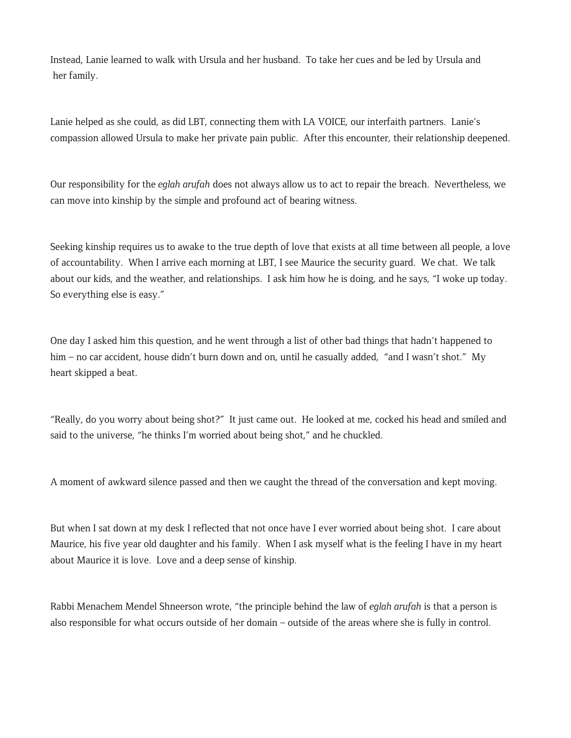Instead, Lanie learned to walk with Ursula and her husband. To take her cues and be led by Ursula and her family.

Lanie helped as she could, as did LBT, connecting them with LA VOICE, our interfaith partners. Lanie's compassion allowed Ursula to make her private pain public. After this encounter, their relationship deepened.

Our responsibility for the *eglah arufah* does not always allow us to act to repair the breach. Nevertheless, we can move into kinship by the simple and profound act of bearing witness.

Seeking kinship requires us to awake to the true depth of love that exists at all time between all people, a love of accountability. When I arrive each morning at LBT, I see Maurice the security guard. We chat. We talk about our kids, and the weather, and relationships. I ask him how he is doing, and he says, "I woke up today. So everything else is easy."

One day I asked him this question, and he went through a list of other bad things that hadn't happened to him – no car accident, house didn't burn down and on, until he casually added, "and I wasn't shot." My heart skipped a beat.

"Really, do you worry about being shot?" It just came out. He looked at me, cocked his head and smiled and said to the universe, "he thinks I'm worried about being shot," and he chuckled.

A moment of awkward silence passed and then we caught the thread of the conversation and kept moving.

But when I sat down at my desk I reflected that not once have I ever worried about being shot. I care about Maurice, his five year old daughter and his family. When I ask myself what is the feeling I have in my heart about Maurice it is love. Love and a deep sense of kinship.

Rabbi Menachem Mendel Shneerson wrote, "the principle behind the law of *eglah arufah* is that a person is also responsible for what occurs outside of her domain – outside of the areas where she is fully in control.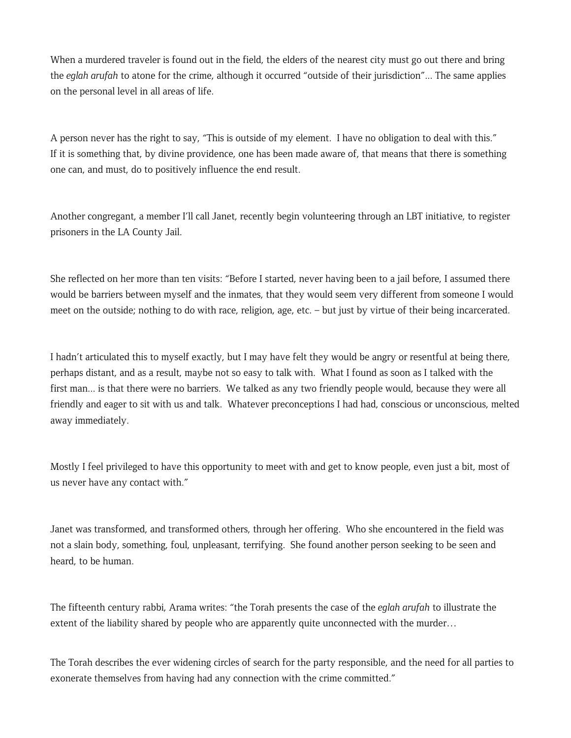When a murdered traveler is found out in the field, the elders of the nearest city must go out there and bring the *eglah arufah* to atone for the crime, although it occurred "outside of their jurisdiction"... The same applies on the personal level in all areas of life.

A person never has the right to say, "This is outside of my element. I have no obligation to deal with this." If it is something that, by divine providence, one has been made aware of, that means that there is something one can, and must, do to positively influence the end result.

Another congregant, a member I'll call Janet, recently begin volunteering through an LBT initiative, to register prisoners in the LA County Jail.

She reflected on her more than ten visits: "Before I started, never having been to a jail before, I assumed there would be barriers between myself and the inmates, that they would seem very different from someone I would meet on the outside; nothing to do with race, religion, age, etc. – but just by virtue of their being incarcerated.

I hadn't articulated this to myself exactly, but I may have felt they would be angry or resentful at being there, perhaps distant, and as a result, maybe not so easy to talk with. What I found as soon as I talked with the first man... is that there were no barriers. We talked as any two friendly people would, because they were all friendly and eager to sit with us and talk. Whatever preconceptions I had had, conscious or unconscious, melted away immediately.

Mostly I feel privileged to have this opportunity to meet with and get to know people, even just a bit, most of us never have any contact with."

Janet was transformed, and transformed others, through her offering. Who she encountered in the field was not a slain body, something, foul, unpleasant, terrifying. She found another person seeking to be seen and heard, to be human.

The fifteenth century rabbi, Arama writes: "the Torah presents the case of the *eglah arufah* to illustrate the extent of the liability shared by people who are apparently quite unconnected with the murder...

The Torah describes the ever widening circles of search for the party responsible, and the need for all parties to exonerate themselves from having had any connection with the crime committed."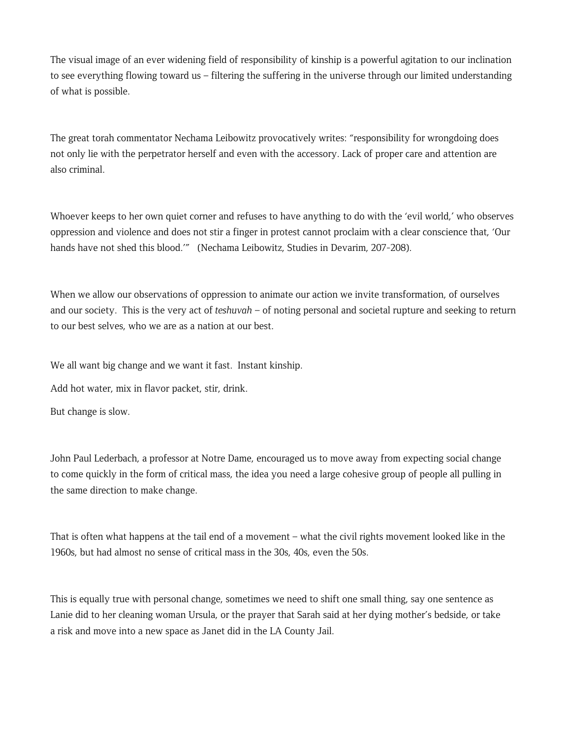The visual image of an ever widening field of responsibility of kinship is a powerful agitation to our inclination to see everything flowing toward us – filtering the suffering in the universe through our limited understanding of what is possible.

The great torah commentator Nechama Leibowitz provocatively writes: "responsibility for wrongdoing does not only lie with the perpetrator herself and even with the accessory. Lack of proper care and attention are also criminal.

Whoever keeps to her own quiet corner and refuses to have anything to do with the 'evil world,' who observes oppression and violence and does not stir a finger in protest cannot proclaim with a clear conscience that, 'Our hands have not shed this blood.'" (Nechama Leibowitz, Studies in Devarim, 207-208).

When we allow our observations of oppression to animate our action we invite transformation, of ourselves and our society. This is the very act of *teshuvah* – of noting personal and societal rupture and seeking to return to our best selves, who we are as a nation at our best.

We all want big change and we want it fast. Instant kinship.

Add hot water, mix in flavor packet, stir, drink.

But change is slow.

John Paul Lederbach, a professor at Notre Dame, encouraged us to move away from expecting social change to come quickly in the form of critical mass, the idea you need a large cohesive group of people all pulling in the same direction to make change.

That is often what happens at the tail end of a movement – what the civil rights movement looked like in the 1960s, but had almost no sense of critical mass in the 30s, 40s, even the 50s.

This is equally true with personal change, sometimes we need to shift one small thing, say one sentence as Lanie did to her cleaning woman Ursula, or the prayer that Sarah said at her dying mother's bedside, or take a risk and move into a new space as Janet did in the LA County Jail.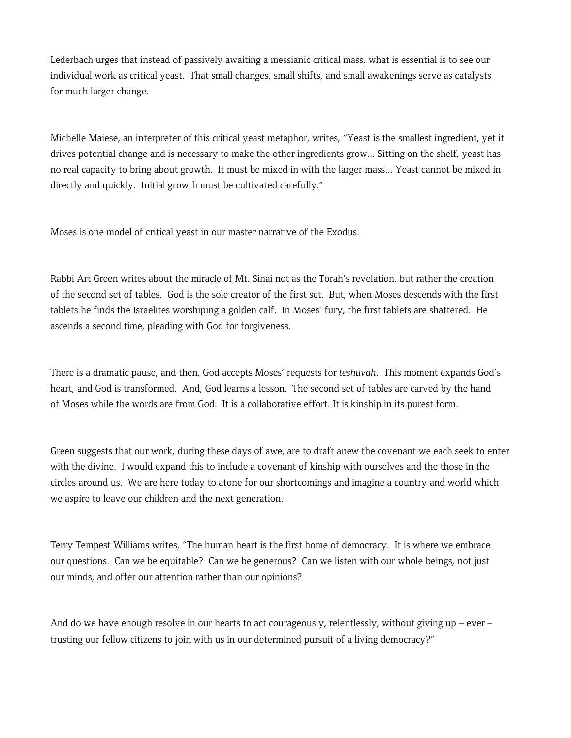Lederbach urges that instead of passively awaiting a messianic critical mass, what is essential is to see our individual work as critical yeast. That small changes, small shifts, and small awakenings serve as catalysts for much larger change.

Michelle Maiese, an interpreter of this critical yeast metaphor, writes, "Yeast is the smallest ingredient, yet it drives potential change and is necessary to make the other ingredients grow... Sitting on the shelf, yeast has no real capacity to bring about growth. It must be mixed in with the larger mass... Yeast cannot be mixed in directly and quickly. Initial growth must be cultivated carefully."

Moses is one model of critical yeast in our master narrative of the Exodus.

Rabbi Art Green writes about the miracle of Mt. Sinai not as the Torah's revelation, but rather the creation of the second set of tables. God is the sole creator of the first set. But, when Moses descends with the first tablets he finds the Israelites worshiping a golden calf. In Moses' fury, the first tablets are shattered. He ascends a second time, pleading with God for forgiveness.

There is a dramatic pause, and then, God accepts Moses' requests for *teshuvah*. This moment expands God's heart, and God is transformed. And, God learns a lesson. The second set of tables are carved by the hand of Moses while the words are from God. It is a collaborative effort. It is kinship in its purest form.

Green suggests that our work, during these days of awe, are to draft anew the covenant we each seek to enter with the divine. I would expand this to include a covenant of kinship with ourselves and the those in the circles around us. We are here today to atone for our shortcomings and imagine a country and world which we aspire to leave our children and the next generation.

Terry Tempest Williams writes, "The human heart is the first home of democracy. It is where we embrace our questions. Can we be equitable? Can we be generous? Can we listen with our whole beings, not just our minds, and offer our attention rather than our opinions?

And do we have enough resolve in our hearts to act courageously, relentlessly, without giving up – ever – trusting our fellow citizens to join with us in our determined pursuit of a living democracy?"